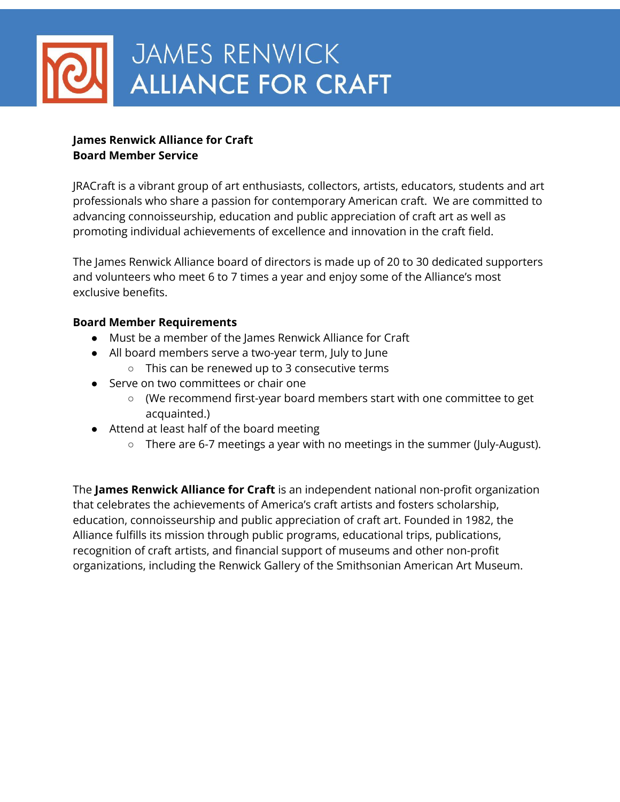

### **James Renwick Alliance for Craft Board Member Service**

JRACraft is a vibrant group of art enthusiasts, collectors, artists, educators, students and art professionals who share a passion for contemporary American craft. We are committed to advancing connoisseurship, education and public appreciation of craft art as well as promoting individual achievements of excellence and innovation in the craft field.

The James Renwick Alliance board of directors is made up of 20 to 30 dedicated supporters and volunteers who meet 6 to 7 times a year and enjoy some of the Alliance's most exclusive benefits.

#### **Board Member Requirements**

- Must be a member of the James Renwick Alliance for Craft
- All board members serve a two-year term, July to June
	- This can be renewed up to 3 consecutive terms
- Serve on two committees or chair one
	- (We recommend first-year board members start with one committee to get acquainted.)
- Attend at least half of the board meeting
	- There are 6-7 meetings a year with no meetings in the summer (July-August).

The **James Renwick Alliance for Craft** is an independent national non-profit organization that celebrates the achievements of America's craft artists and fosters scholarship, education, connoisseurship and public appreciation of craft art. Founded in 1982, the Alliance fulfills its mission through public programs, educational trips, publications, recognition of craft artists, and financial support of museums and other non-profit organizations, including the Renwick Gallery of the Smithsonian American Art Museum.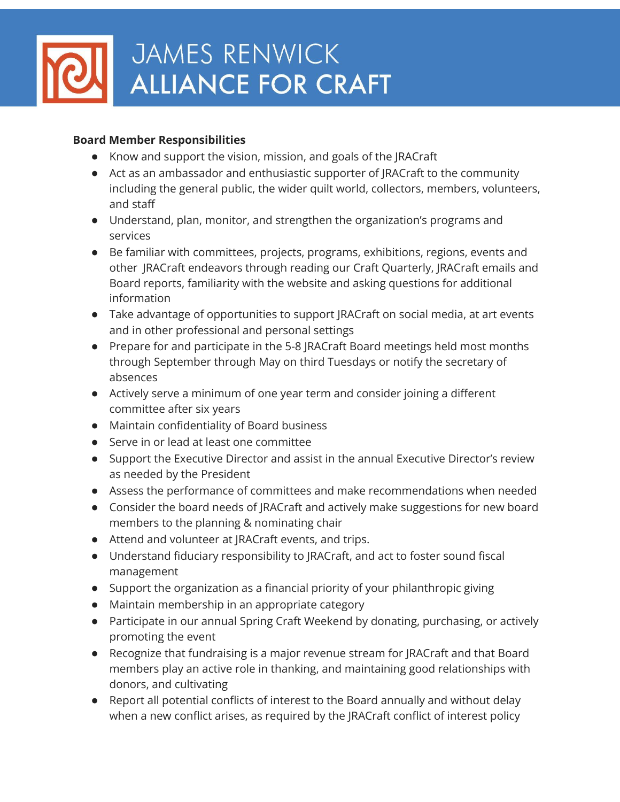

## JAMES RENWICK **ALLIANCE FOR CRAFT**

#### **Board Member Responsibilities**

- Know and support the vision, mission, and goals of the JRACraft
- Act as an ambassador and enthusiastic supporter of JRACraft to the community including the general public, the wider quilt world, collectors, members, volunteers, and staff
- Understand, plan, monitor, and strengthen the organization's programs and services
- Be familiar with committees, projects, programs, exhibitions, regions, events and other JRACraft endeavors through reading our Craft Quarterly, JRACraft emails and Board reports, familiarity with the website and asking questions for additional information
- Take advantage of opportunities to support JRACraft on social media, at art events and in other professional and personal settings
- Prepare for and participate in the 5-8 JRACraft Board meetings held most months through September through May on third Tuesdays or notify the secretary of absences
- Actively serve a minimum of one year term and consider joining a different committee after six years
- Maintain confidentiality of Board business
- Serve in or lead at least one committee
- Support the Executive Director and assist in the annual Executive Director's review as needed by the President
- Assess the performance of committees and make recommendations when needed
- Consider the board needs of JRACraft and actively make suggestions for new board members to the planning & nominating chair
- Attend and volunteer at JRACraft events, and trips.
- Understand fiduciary responsibility to JRACraft, and act to foster sound fiscal management
- Support the organization as a financial priority of your philanthropic giving
- Maintain membership in an appropriate category
- Participate in our annual Spring Craft Weekend by donating, purchasing, or actively promoting the event
- Recognize that fundraising is a major revenue stream for JRACraft and that Board members play an active role in thanking, and maintaining good relationships with donors, and cultivating
- Report all potential conflicts of interest to the Board annually and without delay when a new conflict arises, as required by the JRACraft conflict of interest policy